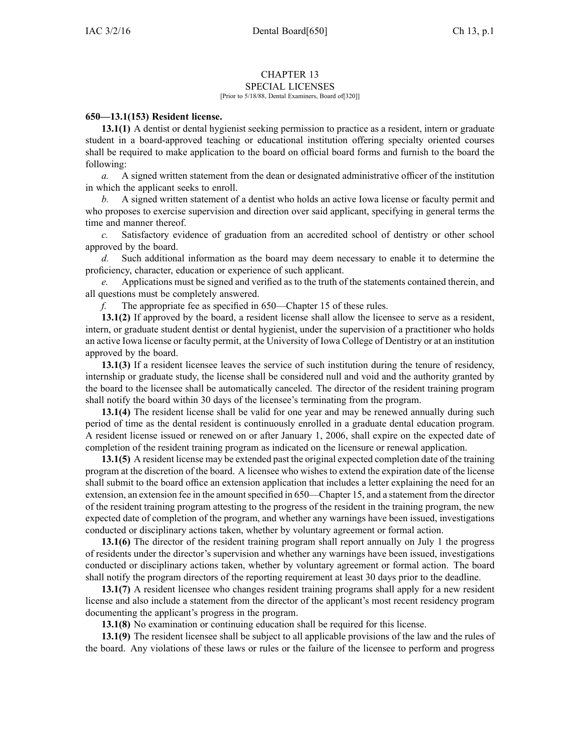## CHAPTER 13

## SPECIAL LICENSES [Prior to 5/18/88, Dental Examiners, Board of[320]]

## **650—13.1(153) Resident license.**

**13.1(1)** A dentist or dental hygienist seeking permission to practice as <sup>a</sup> resident, intern or graduate student in <sup>a</sup> board-approved teaching or educational institution offering specialty oriented courses shall be required to make application to the board on official board forms and furnish to the board the following:

*a.* A signed written statement from the dean or designated administrative officer of the institution in which the applicant seeks to enroll.

*b.* A signed written statement of <sup>a</sup> dentist who holds an active Iowa license or faculty permit and who proposes to exercise supervision and direction over said applicant, specifying in general terms the time and manner thereof.

*c.* Satisfactory evidence of graduation from an accredited school of dentistry or other school approved by the board.

*d.* Such additional information as the board may deem necessary to enable it to determine the proficiency, character, education or experience of such applicant.

*e.* Applications must be signed and verified as to the truth of the statements contained therein, and all questions must be completely answered.

*f.* The appropriate fee as specified in 650—Chapter 15 of these rules.

**13.1(2)** If approved by the board, <sup>a</sup> resident license shall allow the licensee to serve as <sup>a</sup> resident, intern, or graduate student dentist or dental hygienist, under the supervision of <sup>a</sup> practitioner who holds an active Iowa license or faculty permit, at the University of Iowa College of Dentistry or at an institution approved by the board.

**13.1(3)** If <sup>a</sup> resident licensee leaves the service of such institution during the tenure of residency, internship or graduate study, the license shall be considered null and void and the authority granted by the board to the licensee shall be automatically canceled. The director of the resident training program shall notify the board within 30 days of the licensee's terminating from the program.

**13.1(4)** The resident license shall be valid for one year and may be renewed annually during such period of time as the dental resident is continuously enrolled in <sup>a</sup> graduate dental education program. A resident license issued or renewed on or after January 1, 2006, shall expire on the expected date of completion of the resident training program as indicated on the licensure or renewal application.

**13.1(5)** A resident license may be extended pas<sup>t</sup> the original expected completion date of the training program at the discretion of the board. A licensee who wishes to extend the expiration date of the license shall submit to the board office an extension application that includes <sup>a</sup> letter explaining the need for an extension, an extension fee in the amount specified in 650—Chapter 15, and a statement from the director of the resident training program attesting to the progress of the resident in the training program, the new expected date of completion of the program, and whether any warnings have been issued, investigations conducted or disciplinary actions taken, whether by voluntary agreemen<sup>t</sup> or formal action.

**13.1(6)** The director of the resident training program shall repor<sup>t</sup> annually on July 1 the progress of residents under the director's supervision and whether any warnings have been issued, investigations conducted or disciplinary actions taken, whether by voluntary agreemen<sup>t</sup> or formal action. The board shall notify the program directors of the reporting requirement at least 30 days prior to the deadline.

**13.1(7)** A resident licensee who changes resident training programs shall apply for <sup>a</sup> new resident license and also include <sup>a</sup> statement from the director of the applicant's most recent residency program documenting the applicant's progress in the program.

**13.1(8)** No examination or continuing education shall be required for this license.

**13.1(9)** The resident licensee shall be subject to all applicable provisions of the law and the rules of the board. Any violations of these laws or rules or the failure of the licensee to perform and progress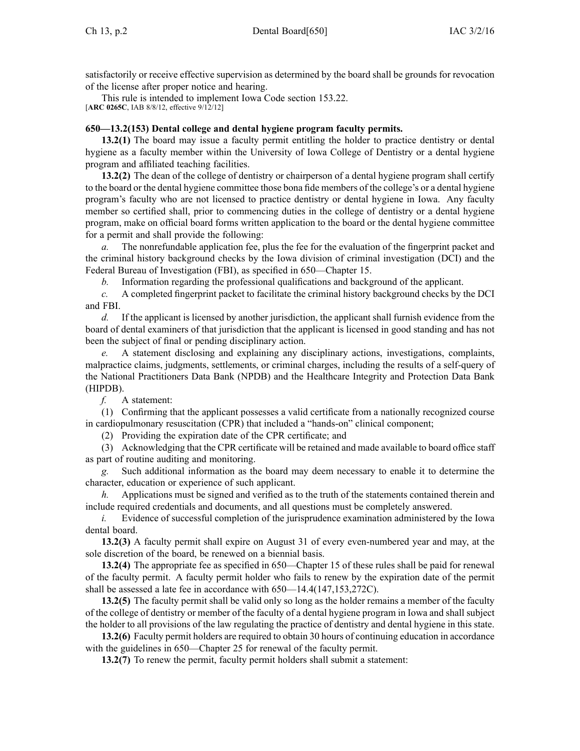satisfactorily or receive effective supervision as determined by the board shall be grounds for revocation of the license after proper notice and hearing.

This rule is intended to implement Iowa Code section [153.22](https://www.legis.iowa.gov/docs/ico/section/153.22.pdf). [**ARC 0265C**, IAB 8/8/12, effective 9/12/12]

## **650—13.2(153) Dental college and dental hygiene program faculty permits.**

**13.2(1)** The board may issue <sup>a</sup> faculty permit entitling the holder to practice dentistry or dental hygiene as <sup>a</sup> faculty member within the University of Iowa College of Dentistry or <sup>a</sup> dental hygiene program and affiliated teaching facilities.

**13.2(2)** The dean of the college of dentistry or chairperson of <sup>a</sup> dental hygiene program shall certify to the board or the dental hygiene committee those bona fide members of the college's or <sup>a</sup> dental hygiene program's faculty who are not licensed to practice dentistry or dental hygiene in Iowa. Any faculty member so certified shall, prior to commencing duties in the college of dentistry or <sup>a</sup> dental hygiene program, make on official board forms written application to the board or the dental hygiene committee for <sup>a</sup> permit and shall provide the following:

*a.* The nonrefundable application fee, plus the fee for the evaluation of the fingerprint packet and the criminal history background checks by the Iowa division of criminal investigation (DCI) and the Federal Bureau of Investigation (FBI), as specified in 650—Chapter 15.

*b.* Information regarding the professional qualifications and background of the applicant.

*c.* A completed fingerprint packet to facilitate the criminal history background checks by the DCI and FBI.

*d.* If the applicant is licensed by another jurisdiction, the applicant shall furnish evidence from the board of dental examiners of that jurisdiction that the applicant is licensed in good standing and has not been the subject of final or pending disciplinary action.

*e.* A statement disclosing and explaining any disciplinary actions, investigations, complaints, malpractice claims, judgments, settlements, or criminal charges, including the results of <sup>a</sup> self-query of the National Practitioners Data Bank (NPDB) and the Healthcare Integrity and Protection Data Bank (HIPDB).

*f.* A statement:

(1) Confirming that the applicant possesses <sup>a</sup> valid certificate from <sup>a</sup> nationally recognized course in cardiopulmonary resuscitation (CPR) that included <sup>a</sup> "hands-on" clinical component;

(2) Providing the expiration date of the CPR certificate; and

(3) Acknowledging that the CPR certificate will be retained and made available to board office staff as par<sup>t</sup> of routine auditing and monitoring.

*g.* Such additional information as the board may deem necessary to enable it to determine the character, education or experience of such applicant.

*h.* Applications must be signed and verified as to the truth of the statements contained therein and include required credentials and documents, and all questions must be completely answered.

*i.* Evidence of successful completion of the jurisprudence examination administered by the Iowa dental board.

**13.2(3)** A faculty permit shall expire on August 31 of every even-numbered year and may, at the sole discretion of the board, be renewed on <sup>a</sup> biennial basis.

**13.2(4)** The appropriate fee as specified in 650—Chapter 15 of these rules shall be paid for renewal of the faculty permit. A faculty permit holder who fails to renew by the expiration date of the permit shall be assessed <sup>a</sup> late fee in accordance with 650—14.4(147,153,272C).

**13.2(5)** The faculty permit shall be valid only so long as the holder remains <sup>a</sup> member of the faculty of the college of dentistry or member of the faculty of <sup>a</sup> dental hygiene program in Iowa and shall subject the holder to all provisions of the law regulating the practice of dentistry and dental hygiene in this state.

**13.2(6)** Faculty permit holders are required to obtain 30 hours of continuing education in accordance with the guidelines in  $650$ —Chapter 25 for renewal of the faculty permit.

**13.2(7)** To renew the permit, faculty permit holders shall submit <sup>a</sup> statement: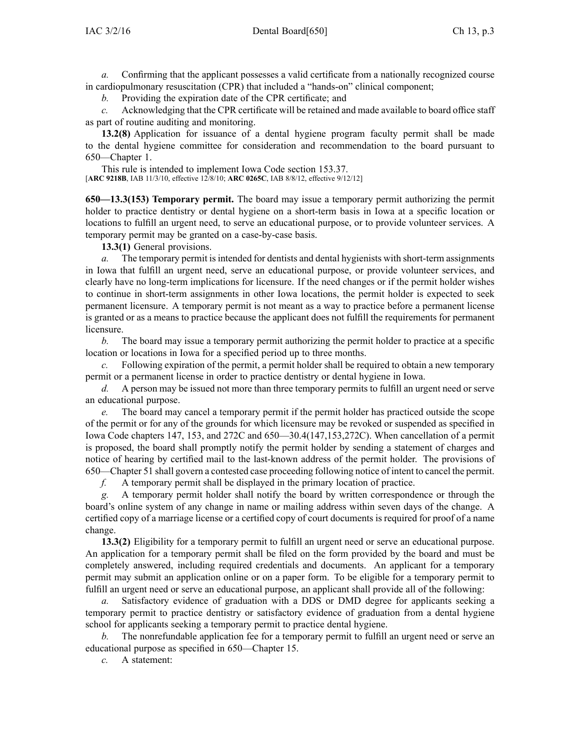*a.* Confirming that the applicant possesses <sup>a</sup> valid certificate from <sup>a</sup> nationally recognized course in cardiopulmonary resuscitation (CPR) that included <sup>a</sup> "hands-on" clinical component;

*b.* Providing the expiration date of the CPR certificate; and

*c.* Acknowledging that the CPR certificate will be retained and made available to board office staff as par<sup>t</sup> of routine auditing and monitoring.

**13.2(8)** Application for issuance of <sup>a</sup> dental hygiene program faculty permit shall be made to the dental hygiene committee for consideration and recommendation to the board pursuan<sup>t</sup> to 650—Chapter 1.

This rule is intended to implement Iowa Code section [153.37](https://www.legis.iowa.gov/docs/ico/section/153.37.pdf). [**ARC 9218B**, IAB 11/3/10, effective 12/8/10; **ARC 0265C**, IAB 8/8/12, effective 9/12/12]

**650—13.3(153) Temporary permit.** The board may issue <sup>a</sup> temporary permit authorizing the permit holder to practice dentistry or dental hygiene on <sup>a</sup> short-term basis in Iowa at <sup>a</sup> specific location or locations to fulfill an urgen<sup>t</sup> need, to serve an educational purpose, or to provide volunteer services. A temporary permit may be granted on <sup>a</sup> case-by-case basis.

**13.3(1)** General provisions.

*a.* The temporary permit is intended for dentists and dental hygienists with short-term assignments in Iowa that fulfill an urgen<sup>t</sup> need, serve an educational purpose, or provide volunteer services, and clearly have no long-term implications for licensure. If the need changes or if the permit holder wishes to continue in short-term assignments in other Iowa locations, the permit holder is expected to seek permanen<sup>t</sup> licensure. A temporary permit is not meant as <sup>a</sup> way to practice before <sup>a</sup> permanen<sup>t</sup> license is granted or as <sup>a</sup> means to practice because the applicant does not fulfill the requirements for permanen<sup>t</sup> licensure.

*b.* The board may issue <sup>a</sup> temporary permit authorizing the permit holder to practice at <sup>a</sup> specific location or locations in Iowa for <sup>a</sup> specified period up to three months.

*c.* Following expiration of the permit, <sup>a</sup> permit holder shall be required to obtain <sup>a</sup> new temporary permit or <sup>a</sup> permanen<sup>t</sup> license in order to practice dentistry or dental hygiene in Iowa.

*d.* A person may be issued not more than three temporary permits to fulfill an urgent need or serve an educational purpose.

*e.* The board may cancel <sup>a</sup> temporary permit if the permit holder has practiced outside the scope of the permit or for any of the grounds for which licensure may be revoked or suspended as specified in Iowa Code chapters [147](https://www.legis.iowa.gov/docs/ico/chapter/147.pdf), [153](https://www.legis.iowa.gov/docs/ico/chapter/153.pdf), and [272C](https://www.legis.iowa.gov/docs/ico/chapter/272C.pdf) and 650—30.4(147,153,272C). When cancellation of <sup>a</sup> permit is proposed, the board shall promptly notify the permit holder by sending <sup>a</sup> statement of charges and notice of hearing by certified mail to the last-known address of the permit holder. The provisions of 650—Chapter 51 shall govern <sup>a</sup> contested case proceeding following notice of intent to cancel the permit.

*f.* A temporary permit shall be displayed in the primary location of practice.

*g.* A temporary permit holder shall notify the board by written correspondence or through the board's online system of any change in name or mailing address within seven days of the change. A certified copy of <sup>a</sup> marriage license or <sup>a</sup> certified copy of court documents is required for proof of <sup>a</sup> name change.

**13.3(2)** Eligibility for <sup>a</sup> temporary permit to fulfill an urgen<sup>t</sup> need or serve an educational purpose. An application for <sup>a</sup> temporary permit shall be filed on the form provided by the board and must be completely answered, including required credentials and documents. An applicant for <sup>a</sup> temporary permit may submit an application online or on <sup>a</sup> paper form. To be eligible for <sup>a</sup> temporary permit to fulfill an urgen<sup>t</sup> need or serve an educational purpose, an applicant shall provide all of the following:

*a.* Satisfactory evidence of graduation with <sup>a</sup> DDS or DMD degree for applicants seeking <sup>a</sup> temporary permit to practice dentistry or satisfactory evidence of graduation from <sup>a</sup> dental hygiene school for applicants seeking <sup>a</sup> temporary permit to practice dental hygiene.

*b.* The nonrefundable application fee for <sup>a</sup> temporary permit to fulfill an urgen<sup>t</sup> need or serve an educational purpose as specified in 650—Chapter 15.

*c.* A statement: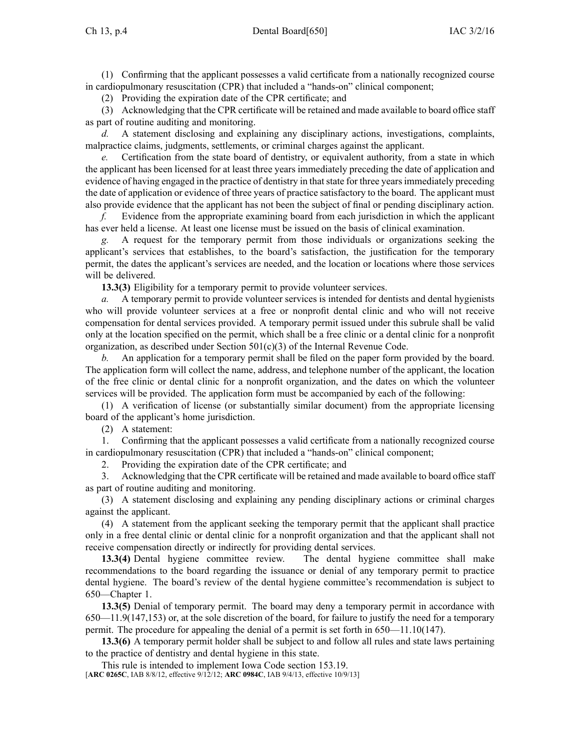(1) Confirming that the applicant possesses <sup>a</sup> valid certificate from <sup>a</sup> nationally recognized course in cardiopulmonary resuscitation (CPR) that included <sup>a</sup> "hands-on" clinical component;

(2) Providing the expiration date of the CPR certificate; and

(3) Acknowledging that the CPR certificate will be retained and made available to board office staff as par<sup>t</sup> of routine auditing and monitoring.

*d.* A statement disclosing and explaining any disciplinary actions, investigations, complaints, malpractice claims, judgments, settlements, or criminal charges against the applicant.

*e.* Certification from the state board of dentistry, or equivalent authority, from <sup>a</sup> state in which the applicant has been licensed for at least three years immediately preceding the date of application and evidence of having engaged in the practice of dentistry in thatstate for three yearsimmediately preceding the date of application or evidence of three years of practice satisfactory to the board. The applicant must also provide evidence that the applicant has not been the subject of final or pending disciplinary action.

*f.* Evidence from the appropriate examining board from each jurisdiction in which the applicant has ever held <sup>a</sup> license. At least one license must be issued on the basis of clinical examination.

*g.* A reques<sup>t</sup> for the temporary permit from those individuals or organizations seeking the applicant's services that establishes, to the board's satisfaction, the justification for the temporary permit, the dates the applicant's services are needed, and the location or locations where those services will be delivered.

**13.3(3)** Eligibility for <sup>a</sup> temporary permit to provide volunteer services.

*a.* A temporary permit to provide volunteer services is intended for dentists and dental hygienists who will provide volunteer services at <sup>a</sup> free or nonprofit dental clinic and who will not receive compensation for dental services provided. A temporary permit issued under this subrule shall be valid only at the location specified on the permit, which shall be <sup>a</sup> free clinic or <sup>a</sup> dental clinic for <sup>a</sup> nonprofit organization, as described under Section 501(c)(3) of the Internal Revenue Code.

*b.* An application for <sup>a</sup> temporary permit shall be filed on the paper form provided by the board. The application form will collect the name, address, and telephone number of the applicant, the location of the free clinic or dental clinic for <sup>a</sup> nonprofit organization, and the dates on which the volunteer services will be provided. The application form must be accompanied by each of the following:

(1) A verification of license (or substantially similar document) from the appropriate licensing board of the applicant's home jurisdiction.

(2) A statement:

1. Confirming that the applicant possesses <sup>a</sup> valid certificate from <sup>a</sup> nationally recognized course in cardiopulmonary resuscitation (CPR) that included <sup>a</sup> "hands-on" clinical component;

2. Providing the expiration date of the CPR certificate; and

3. Acknowledging that the CPR certificate will be retained and made available to board office staff as par<sup>t</sup> of routine auditing and monitoring.

(3) A statement disclosing and explaining any pending disciplinary actions or criminal charges against the applicant.

(4) A statement from the applicant seeking the temporary permit that the applicant shall practice only in <sup>a</sup> free dental clinic or dental clinic for <sup>a</sup> nonprofit organization and that the applicant shall not receive compensation directly or indirectly for providing dental services.

**13.3(4)** Dental hygiene committee review. The dental hygiene committee shall make recommendations to the board regarding the issuance or denial of any temporary permit to practice dental hygiene. The board's review of the dental hygiene committee's recommendation is subject to 650—Chapter 1.

**13.3(5)** Denial of temporary permit. The board may deny <sup>a</sup> temporary permit in accordance with 650—11.9(147,153) or, at the sole discretion of the board, for failure to justify the need for <sup>a</sup> temporary permit. The procedure for appealing the denial of <sup>a</sup> permit is set forth in 650—11.10(147).

**13.3(6)** A temporary permit holder shall be subject to and follow all rules and state laws pertaining to the practice of dentistry and dental hygiene in this state.

This rule is intended to implement Iowa Code section [153.19](https://www.legis.iowa.gov/docs/ico/section/153.19.pdf). [**ARC 0265C**, IAB 8/8/12, effective 9/12/12; **ARC 0984C**, IAB 9/4/13, effective 10/9/13]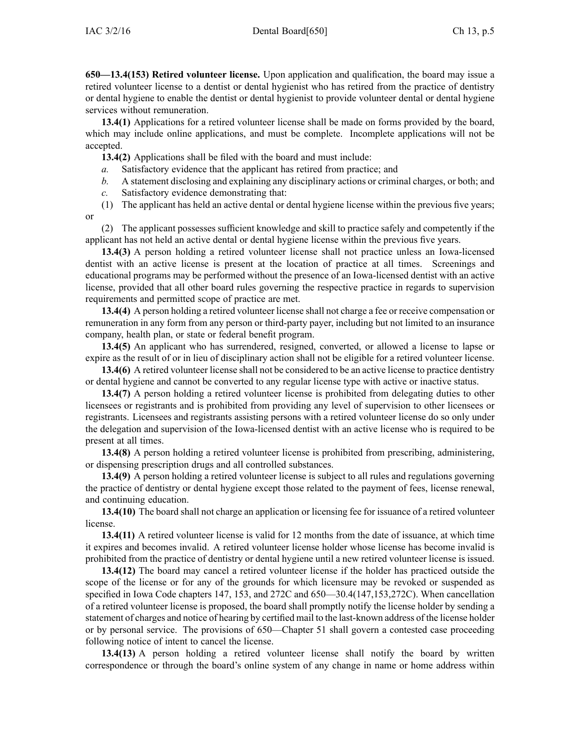**650—13.4(153) Retired volunteer license.** Upon application and qualification, the board may issue <sup>a</sup> retired volunteer license to <sup>a</sup> dentist or dental hygienist who has retired from the practice of dentistry or dental hygiene to enable the dentist or dental hygienist to provide volunteer dental or dental hygiene services without remuneration.

**13.4(1)** Applications for <sup>a</sup> retired volunteer license shall be made on forms provided by the board, which may include online applications, and must be complete. Incomplete applications will not be accepted.

**13.4(2)** Applications shall be filed with the board and must include:

- *a.* Satisfactory evidence that the applicant has retired from practice; and
- *b.* A statement disclosing and explaining any disciplinary actions or criminal charges, or both; and
- *c.* Satisfactory evidence demonstrating that:

(1) The applicant has held an active dental or dental hygiene license within the previous five years; or

(2) The applicant possesses sufficient knowledge and skill to practice safely and competently if the applicant has not held an active dental or dental hygiene license within the previous five years.

**13.4(3)** A person holding <sup>a</sup> retired volunteer license shall not practice unless an Iowa-licensed dentist with an active license is presen<sup>t</sup> at the location of practice at all times. Screenings and educational programs may be performed without the presence of an Iowa-licensed dentist with an active license, provided that all other board rules governing the respective practice in regards to supervision requirements and permitted scope of practice are met.

**13.4(4)** A person holding <sup>a</sup> retired volunteer license shall not charge <sup>a</sup> fee or receive compensation or remuneration in any form from any person or third-party payer, including but not limited to an insurance company, health plan, or state or federal benefit program.

**13.4(5)** An applicant who has surrendered, resigned, converted, or allowed <sup>a</sup> license to lapse or expire as the result of or in lieu of disciplinary action shall not be eligible for <sup>a</sup> retired volunteer license.

**13.4(6)** A retired volunteer license shall not be considered to be an active license to practice dentistry or dental hygiene and cannot be converted to any regular license type with active or inactive status.

**13.4(7)** A person holding <sup>a</sup> retired volunteer license is prohibited from delegating duties to other licensees or registrants and is prohibited from providing any level of supervision to other licensees or registrants. Licensees and registrants assisting persons with <sup>a</sup> retired volunteer license do so only under the delegation and supervision of the Iowa-licensed dentist with an active license who is required to be presen<sup>t</sup> at all times.

**13.4(8)** A person holding <sup>a</sup> retired volunteer license is prohibited from prescribing, administering, or dispensing prescription drugs and all controlled substances.

**13.4(9)** A person holding <sup>a</sup> retired volunteer license is subject to all rules and regulations governing the practice of dentistry or dental hygiene excep<sup>t</sup> those related to the paymen<sup>t</sup> of fees, license renewal, and continuing education.

**13.4(10)** The board shall not charge an application or licensing fee for issuance of <sup>a</sup> retired volunteer license.

**13.4(11)** A retired volunteer license is valid for 12 months from the date of issuance, at which time it expires and becomes invalid. A retired volunteer license holder whose license has become invalid is prohibited from the practice of dentistry or dental hygiene until <sup>a</sup> new retired volunteer license is issued.

**13.4(12)** The board may cancel <sup>a</sup> retired volunteer license if the holder has practiced outside the scope of the license or for any of the grounds for which licensure may be revoked or suspended as specified in Iowa Code chapters [147](https://www.legis.iowa.gov/docs/ico/chapter/147.pdf), [153](https://www.legis.iowa.gov/docs/ico/chapter/153.pdf), and [272C](https://www.legis.iowa.gov/docs/ico/chapter/272C.pdf) and 650—30.4(147,153,272C). When cancellation of <sup>a</sup> retired volunteer license is proposed, the board shall promptly notify the license holder by sending <sup>a</sup> statement of charges and notice of hearing by certified mail to the last-known address of the license holder or by personal service. The provisions of 650—Chapter 51 shall govern <sup>a</sup> contested case proceeding following notice of intent to cancel the license.

**13.4(13)** A person holding <sup>a</sup> retired volunteer license shall notify the board by written correspondence or through the board's online system of any change in name or home address within